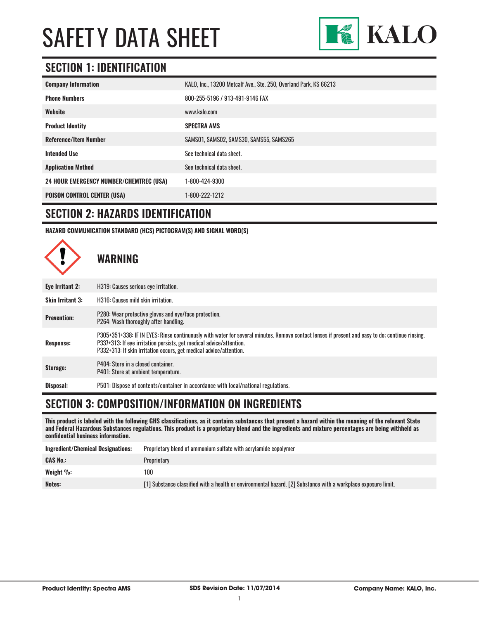

### **SECTION 1: IDENTIFICATION**

| <b>Company Information</b>                     | KALO, Inc., 13200 Metcalf Ave., Ste. 250, Overland Park, KS 66213 |
|------------------------------------------------|-------------------------------------------------------------------|
| <b>Phone Numbers</b>                           | 800-255-5196 / 913-491-9146 FAX                                   |
| Website                                        | www.kalo.com                                                      |
| <b>Product Identity</b>                        | <b>SPECTRA AMS</b>                                                |
| <b>Reference/Item Number</b>                   | SAMS01, SAMS02, SAMS30, SAMS55, SAMS265                           |
| <b>Intended Use</b>                            | See technical data sheet.                                         |
| <b>Application Method</b>                      | See technical data sheet.                                         |
| <b>24 HOUR EMERGENCY NUMBER/CHEMTREC (USA)</b> | 1-800-424-9300                                                    |
| <b>POISON CONTROL CENTER (USA)</b>             | 1-800-222-1212                                                    |

#### **SECTION 2: HAZARDS IDENTIFICATION**

**HAZARD COMMUNICATION STANDARD (HCS) PICTOGRAM(S) AND SIGNAL WORD(S)**



# **SECTION 3: COMPOSITION/INFORMATION ON INGREDIENTS**

**This product is labeled with the following GHS classifications, as it contains substances that present a hazard within the meaning of the relevant State and Federal Hazardous Substances regulations. This product is a proprietary blend and the ingredients and mixture percentages are being withheld as confidential business information.**

| Ingredient/Chemical Designations: | Proprietary blend of ammonium sulfate with acrylamide copolymer                                                |
|-----------------------------------|----------------------------------------------------------------------------------------------------------------|
| <b>CAS No.:</b>                   | Proprietary                                                                                                    |
| Weight $\%$ :                     | 100                                                                                                            |
| Notes:                            | [1] Substance classified with a health or environmental hazard. [2] Substance with a workplace exposure limit. |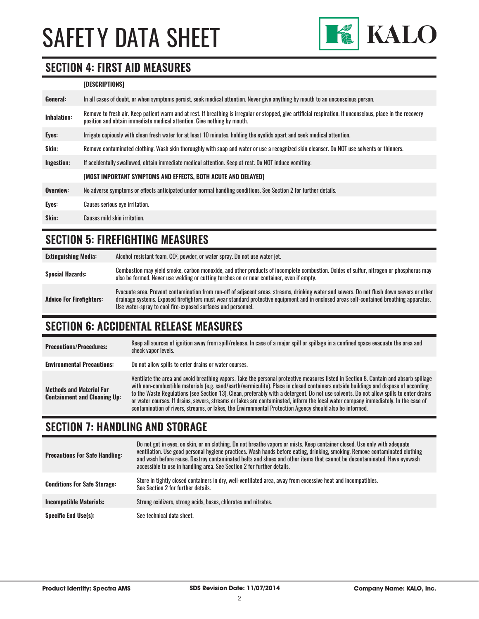

#### **SECTION 4: FIRST AID MEASURES**

#### **[DESCRIPTIONS]**

| General:           | In all cases of doubt, or when symptoms persist, seek medical attention. Never give anything by mouth to an unconscious person.                                                                                                         |
|--------------------|-----------------------------------------------------------------------------------------------------------------------------------------------------------------------------------------------------------------------------------------|
| <b>Inhalation:</b> | Remove to fresh air. Keep patient warm and at rest. If breathing is irregular or stopped, give artificial respiration. If unconscious, place in the recovery<br>position and obtain immediate medical attention. Give nothing by mouth. |
| Eyes:              | Irrigate copiously with clean fresh water for at least 10 minutes, holding the eyelids apart and seek medical attention.                                                                                                                |
| <b>Skin:</b>       | Remove contaminated clothing. Wash skin thoroughly with soap and water or use a recognized skin cleanser. Do NOT use solvents or thinners.                                                                                              |
| Ingestion:         | If accidentally swallowed, obtain immediate medical attention. Keep at rest. Do NOT induce vomiting.                                                                                                                                    |
|                    | [MOST IMPORTANT SYMPTOMS AND EFFECTS, BOTH ACUTE AND DELAYED]                                                                                                                                                                           |
| Overview:          | No adverse symptoms or effects anticipated under normal handling conditions. See Section 2 for further details.                                                                                                                         |
| Eyes:              | Causes serious eye irritation.                                                                                                                                                                                                          |
| Skin:              | Causes mild skin irritation.                                                                                                                                                                                                            |
|                    |                                                                                                                                                                                                                                         |

### **SECTION 5: FIREFIGHTING MEASURES**

| <b>Extinguishing Media:</b>     | Alcohol resistant foam, CO <sup>2</sup> , powder, or water spray. Do not use water jet.                                                                                                                                                                                                                                                                |
|---------------------------------|--------------------------------------------------------------------------------------------------------------------------------------------------------------------------------------------------------------------------------------------------------------------------------------------------------------------------------------------------------|
| <b>Special Hazards:</b>         | Combustion may yield smoke, carbon monoxide, and other products of incomplete combustion. Oxides of sulfur, nitrogen or phosphorus may<br>also be formed. Never use welding or cutting torches on or near container, even if empty.                                                                                                                    |
| <b>Advice For Firefighters:</b> | Evacuate area. Prevent contamination from run-off of adjacent areas, streams, drinking water and sewers. Do not flush down sewers or other<br>drainage systems. Exposed firefighters must wear standard protective equipment and in enclosed areas self-contained breathing apparatus.<br>Use water-spray to cool fire-exposed surfaces and personnel. |

### **SECTION 6: ACCIDENTAL RELEASE MEASURES**

| <b>Precautions/Procedures:</b>                                         | Keep all sources of ignition away from spill/release. In case of a major spill or spillage in a confined space evacuate the area and<br>check vapor levels.                                                                                                                                                                                                                                                                                                                                                                                                                                                                                                               |
|------------------------------------------------------------------------|---------------------------------------------------------------------------------------------------------------------------------------------------------------------------------------------------------------------------------------------------------------------------------------------------------------------------------------------------------------------------------------------------------------------------------------------------------------------------------------------------------------------------------------------------------------------------------------------------------------------------------------------------------------------------|
| <b>Environmental Precautions:</b>                                      | Do not allow spills to enter drains or water courses.                                                                                                                                                                                                                                                                                                                                                                                                                                                                                                                                                                                                                     |
| <b>Methods and Material For</b><br><b>Containment and Cleaning Up:</b> | Ventilate the area and avoid breathing vapors. Take the personal protective measures listed in Section 8. Contain and absorb spillage<br>with non-combustible materials (e.g. sand/earth/vermiculite). Place in closed containers outside buildings and dispose of according<br>to the Waste Regulations (see Section 13). Clean, preferably with a detergent. Do not use solvents. Do not allow spills to enter drains<br>or water courses. If drains, sewers, streams or lakes are contaminated, inform the local water company immediately. In the case of<br>contamination of rivers, streams, or lakes, the Environmental Protection Agency should also be informed. |

### **SECTION 7: HANDLING AND STORAGE**

| <b>Precautions For Safe Handling:</b> | Do not get in eyes, on skin, or on clothing. Do not breathe vapors or mists. Keep container closed. Use only with adequate<br>ventilation. Use good personal hygiene practices. Wash hands before eating, drinking, smoking. Remove contaminated clothing<br>and wash before reuse. Destroy contaminated belts and shoes and other items that cannot be decontaminated. Have evewash<br>accessible to use in handling area. See Section 2 for further details. |
|---------------------------------------|----------------------------------------------------------------------------------------------------------------------------------------------------------------------------------------------------------------------------------------------------------------------------------------------------------------------------------------------------------------------------------------------------------------------------------------------------------------|
| <b>Conditions For Safe Storage:</b>   | Store in tightly closed containers in dry, well-ventilated area, away from excessive heat and incompatibles.<br>See Section 2 for further details.                                                                                                                                                                                                                                                                                                             |
| <b>Incompatible Materials:</b>        | Strong oxidizers, strong acids, bases, chlorates and nitrates.                                                                                                                                                                                                                                                                                                                                                                                                 |
| <b>Specific End Use(s):</b>           | See technical data sheet.                                                                                                                                                                                                                                                                                                                                                                                                                                      |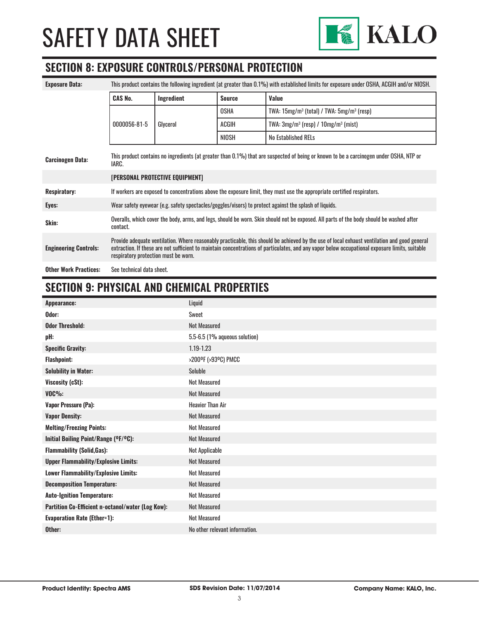

### **SECTION 8: EXPOSURE CONTROLS/PERSONAL PROTECTION**

| <b>Exposure Data:</b>        | This product contains the following ingredient (at greater than 0.1%) with established limits for exposure under OSHA, ACGIH and/or NIOSH.                                                                                                                                                                                             |            |               |                                               |
|------------------------------|----------------------------------------------------------------------------------------------------------------------------------------------------------------------------------------------------------------------------------------------------------------------------------------------------------------------------------------|------------|---------------|-----------------------------------------------|
|                              | <b>CAS No.</b>                                                                                                                                                                                                                                                                                                                         | Ingredient | <b>Source</b> | Value                                         |
|                              |                                                                                                                                                                                                                                                                                                                                        |            | <b>OSHA</b>   | TWA: $15mg/m3$ (total) / TWA: $5mg/m3$ (resp) |
|                              | 0000056-81-5                                                                                                                                                                                                                                                                                                                           | Glycerol   | ACGIH         | TWA: $3mg/m^3$ (resp) / $10mg/m^3$ (mist)     |
|                              |                                                                                                                                                                                                                                                                                                                                        |            | NIOSH         | <b>No Established RELs</b>                    |
| <b>Carcinogen Data:</b>      | This product contains no ingredients (at greater than 0.1%) that are suspected of being or known to be a carcinogen under OSHA, NTP or<br>IARC.                                                                                                                                                                                        |            |               |                                               |
|                              | [PERSONAL PROTECTIVE EQUIPMENT]                                                                                                                                                                                                                                                                                                        |            |               |                                               |
| <b>Respiratory:</b>          | If workers are exposed to concentrations above the exposure limit, they must use the appropriate certified respirators.                                                                                                                                                                                                                |            |               |                                               |
| Eyes:                        | Wear safety eyewear (e.g. safety spectacles/goggles/visors) to protect against the splash of liquids.                                                                                                                                                                                                                                  |            |               |                                               |
| Skin:                        | Overalls, which cover the body, arms, and legs, should be worn. Skin should not be exposed. All parts of the body should be washed after<br>contact.                                                                                                                                                                                   |            |               |                                               |
| <b>Engineering Controls:</b> | Provide adequate ventilation. Where reasonably practicable, this should be achieved by the use of local exhaust ventilation and good general<br>extraction. If these are not sufficient to maintain concentrations of particulates, and any vapor below occupational exposure limits, suitable<br>respiratory protection must be worn. |            |               |                                               |
| <b>Other Work Practices:</b> | See technical data sheet.                                                                                                                                                                                                                                                                                                              |            |               |                                               |

# **SECTION 9: PHYSICAL AND CHEMICAL PROPERTIES**

| Appearance:                                       | Liquid                         |
|---------------------------------------------------|--------------------------------|
| Odor:                                             | Sweet                          |
| <b>Odor Threshold:</b>                            | <b>Not Measured</b>            |
| pH:                                               | 5.5-6.5 (1% aqueous solution)  |
| <b>Specific Gravity:</b>                          | 1.19-1.23                      |
| <b>Flashpoint:</b>                                | >200ºF (>93ºC) PMCC            |
| <b>Solubility in Water:</b>                       | Soluble                        |
| Viscosity (cSt):                                  | Not Measured                   |
| $VOC\%$ :                                         | <b>Not Measured</b>            |
| <b>Vapor Pressure (Pa):</b>                       | <b>Heavier Than Air</b>        |
| <b>Vapor Density:</b>                             | <b>Not Measured</b>            |
| <b>Melting/Freezing Points:</b>                   | <b>Not Measured</b>            |
| Initial Boiling Point/Range (°F/°C):              | <b>Not Measured</b>            |
| <b>Flammability (Solid, Gas):</b>                 | Not Applicable                 |
| <b>Upper Flammability/Explosive Limits:</b>       | <b>Not Measured</b>            |
| Lower Flammability/Explosive Limits:              | <b>Not Measured</b>            |
| <b>Decomposition Temperature:</b>                 | <b>Not Measured</b>            |
| <b>Auto-Ignition Temperature:</b>                 | <b>Not Measured</b>            |
| Partition Co-Efficient n-octanol/water (Log Kow): | Not Measured                   |
| <b>Evaporation Rate (Ether=1):</b>                | <b>Not Measured</b>            |
| Other:                                            | No other relevant information. |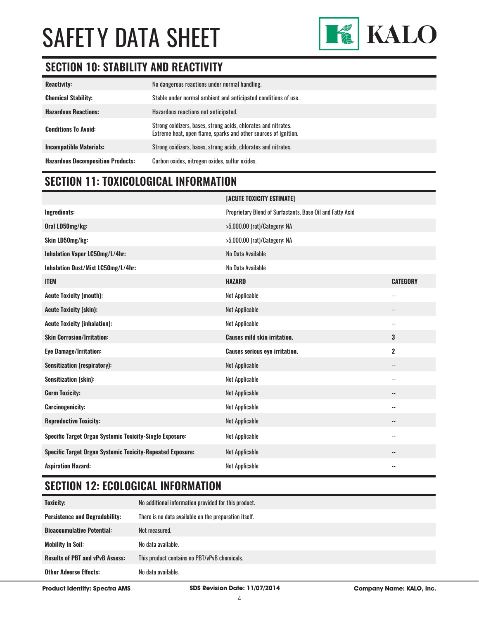

# **SECTION 10: STABILITY AND REACTIVITY**

| <b>Reactivity:</b>                       | No dangerous reactions under normal handling.                                                                                     |
|------------------------------------------|-----------------------------------------------------------------------------------------------------------------------------------|
| <b>Chemical Stability:</b>               | Stable under normal ambient and anticipated conditions of use.                                                                    |
| <b>Hazardous Reactions:</b>              | Hazardous reactions not anticipated.                                                                                              |
| <b>Conditions To Avoid:</b>              | Strong oxidizers, bases, strong acids, chlorates and nitrates.<br>Extreme heat, open flame, sparks and other sources of ignition. |
| <b>Incompatible Materials:</b>           | Strong oxidizers, bases, strong acids, chlorates and nitrates.                                                                    |
| <b>Hazardous Decomposition Products:</b> | Carbon oxides, nitrogen oxides, sulfur oxides.                                                                                    |

### **SECTION 11: TOXICOLOGICAL INFORMATION**

|                                                                   | [ACUTE TOXICITY ESTIMATE]                                 |                          |
|-------------------------------------------------------------------|-----------------------------------------------------------|--------------------------|
| <b>Ingredients:</b>                                               | Proprietary Blend of Surfactants, Base Oil and Fatty Acid |                          |
| Oral LD50mg/kg:                                                   | >5,000.00 (rat)/Category: NA                              |                          |
| Skin LD50mg/kg:                                                   | >5,000.00 (rat)/Category: NA                              |                          |
| Inhalation Vapor LC50mg/L/4hr:                                    | No Data Available                                         |                          |
| Inhalation Dust/Mist LC50mg/L/4hr:                                | No Data Available                                         |                          |
| <b>ITEM</b>                                                       | <b>HAZARD</b>                                             | <b>CATEGORY</b>          |
| <b>Acute Toxicity (mouth):</b>                                    | Not Applicable                                            | $\overline{\phantom{a}}$ |
| <b>Acute Toxicity (skin):</b>                                     | Not Applicable                                            | $\overline{\phantom{a}}$ |
| <b>Acute Toxicity (inhalation):</b>                               | Not Applicable                                            | $\overline{\phantom{a}}$ |
|                                                                   |                                                           |                          |
| <b>Skin Corrosion/Irritation:</b>                                 | <b>Causes mild skin irritation.</b>                       | 3                        |
| <b>Eye Damage/Irritation:</b>                                     | <b>Causes serious eye irritation.</b>                     | $\overline{2}$           |
| <b>Sensitization (respiratory):</b>                               | Not Applicable                                            | $\overline{\phantom{a}}$ |
| <b>Sensitization (skin):</b>                                      | Not Applicable                                            | $\overline{\phantom{a}}$ |
| <b>Germ Toxicity:</b>                                             | Not Applicable                                            | --                       |
| <b>Carcinogenicity:</b>                                           | Not Applicable                                            | $-$                      |
| <b>Reproductive Toxicity:</b>                                     | Not Applicable                                            | --                       |
| Specific Target Organ Systemic Toxicity-Single Exposure:          | Not Applicable                                            | $\overline{\phantom{a}}$ |
| <b>Specific Target Organ Systemic Toxicity-Repeated Exposure:</b> | Not Applicable                                            | --                       |

# **SECTION 12: ECOLOGICAL INFORMATION**

| Toxicity:                              | No additional information provided for this product.  |  |
|----------------------------------------|-------------------------------------------------------|--|
| <b>Persistence and Degradability:</b>  | There is no data available on the preparation itself. |  |
| <b>Bioaccumulative Potential:</b>      | Not measured.                                         |  |
| <b>Mobility In Soil:</b>               | No data available.                                    |  |
| <b>Results of PBT and vPvB Assess:</b> | This product contains no PBT/vPvB chemicals.          |  |
| <b>Other Adverse Effects:</b>          | No data available.                                    |  |